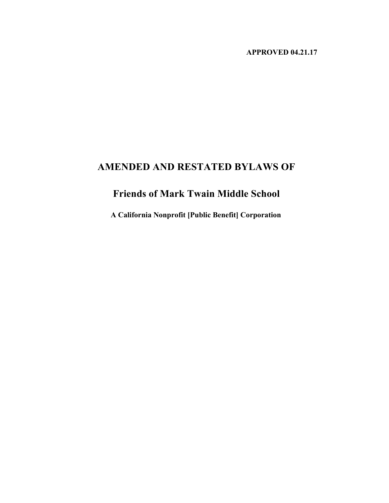## **APPROVED 04.21.17**

# **AMENDED AND RESTATED BYLAWS OF**

# **Friends of Mark Twain Middle School**

**A California Nonprofit [Public Benefit] Corporation**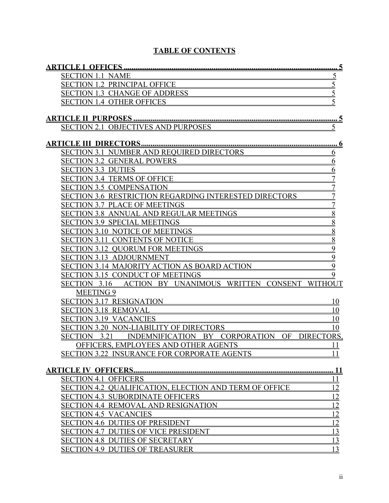# **TABLE OF CONTENTS**

| <b>SECTION 1.1 NAME</b>                                  |                |
|----------------------------------------------------------|----------------|
| <b>SECTION 1.2 PRINCIPAL OFFICE</b>                      | 5              |
| <b>SECTION 1.3 CHANGE OF ADDRESS</b>                     | 5              |
| <b>SECTION 1.4 OTHER OFFICES</b>                         |                |
|                                                          |                |
|                                                          |                |
| <b>SECTION 2.1 OBJECTIVES AND PURPOSES</b>               |                |
|                                                          |                |
| <b>SECTION 3.1 NUMBER AND REQUIRED DIRECTORS</b>         | <u>6</u>       |
| <b>SECTION 3.2 GENERAL POWERS</b>                        | 6              |
| <b>SECTION 3.3 DUTIES</b>                                | 6              |
| <b>SECTION 3.4 TERMS OF OFFICE</b>                       | $\overline{7}$ |
| <b>SECTION 3.5 COMPENSATION</b>                          | 7              |
| SECTION 3.6 RESTRICTION REGARDING INTERESTED DIRECTORS   | $\overline{7}$ |
| <b>SECTION 3.7 PLACE OF MEETINGS</b>                     | $\overline{7}$ |
| SECTION 3.8 ANNUAL AND REGULAR MEETINGS                  | 8              |
| <b>SECTION 3.9 SPECIAL MEETINGS</b>                      | 8              |
| <b>SECTION 3.10 NOTICE OF MEETINGS</b>                   | 8              |
| <b>SECTION 3.11 CONTENTS OF NOTICE</b>                   | 8              |
| <b>SECTION 3.12 QUORUM FOR MEETINGS</b>                  | 9              |
| <b>SECTION 3.13 ADJOURNMENT</b>                          | 9              |
| SECTION 3.14 MAJORITY ACTION AS BOARD ACTION             | 9              |
| <b>SECTION 3.15 CONDUCT OF MEETINGS</b>                  | 9              |
| SECTION 3.16 ACTION BY UNANIMOUS WRITTEN CONSENT WITHOUT |                |
| <b>MEETING 9</b>                                         |                |
| <b>SECTION 3.17 RESIGNATION</b>                          | 10             |
| <b>SECTION 3.18 REMOVAL</b>                              | 10             |
| <b>SECTION 3.19 VACANCIES</b>                            | 10             |
| <b>SECTION 3.20 NON-LIABILITY OF DIRECTORS</b>           | 10             |
| INDEMNIFICATION BY CORPORATION<br>SECTION 3.21<br>OF.    | DIRECTORS.     |
| OFFICERS, EMPLOYEES AND OTHER AGENTS                     | <u> 11</u>     |
| <b>SECTION 3.22 INSURANCE FOR CORPORATE AGENTS</b>       | 11             |
|                                                          |                |
| <b>SECTION 4.1 OFFICERS</b>                              | 11<br>11       |
| SECTION 4.2 QUALIFICATION, ELECTION AND TERM OF OFFICE   | 12             |
| SECTION 4.3 SUBORDINATE OFFICERS                         | 12             |
| SECTION 4.4 REMOVAL AND RESIGNATION                      | 12             |
| <b>SECTION 4.5 VACANCIES</b>                             | $\frac{12}{2}$ |
| <b>SECTION 4.6 DUTIES OF PRESIDENT</b>                   | 12             |
| SECTION 4.7 DUTIES OF VICE PRESIDENT                     | <u>13</u>      |
| <b>SECTION 4.8 DUTIES OF SECRETARY</b>                   | <u>13</u>      |
| <b>SECTION 4.9 DUTIES OF TREASURER</b>                   | 13             |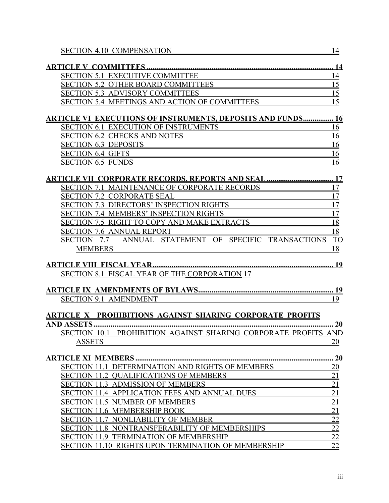| <b>SECTION 4.10 COMPENSATION</b>                                   | 14              |
|--------------------------------------------------------------------|-----------------|
|                                                                    |                 |
|                                                                    | . 14            |
| <b>SECTION 5.1 EXECUTIVE COMMITTEE</b>                             | <u> 14</u>      |
| SECTION 5.2 OTHER BOARD COMMITTEES                                 | $\overline{15}$ |
| <b>SECTION 5.3 ADVISORY COMMITTEES</b>                             | 15<br>15        |
| SECTION 5.4 MEETINGS AND ACTION OF COMMITTEES                      |                 |
| <b>ARTICLE VI EXECUTIONS OF INSTRUMENTS, DEPOSITS AND FUNDS 16</b> |                 |
| <b>SECTION 6.1 EXECUTION OF INSTRUMENTS</b>                        | 16              |
| <b>SECTION 6.2 CHECKS AND NOTES</b>                                | 16              |
| <b>SECTION 6.3 DEPOSITS</b>                                        | 16              |
| <b>SECTION 6.4 GIFTS</b>                                           | 16              |
| <b>SECTION 6.5 FUNDS</b>                                           | 16              |
| <b>ARTICLE VII CORPORATE RECORDS, REPORTS AND SEAL  17</b>         |                 |
| SECTION 7.1 MAINTENANCE OF CORPORATE RECORDS                       | 17              |
| <b>SECTION 7.2 CORPORATE SEAL</b>                                  | 17              |
| <b>SECTION 7.3 DIRECTORS' INSPECTION RIGHTS</b>                    | 17              |
| SECTION 7.4 MEMBERS' INSPECTION RIGHTS                             | 17              |
| SECTION 7.5 RIGHT TO COPY AND MAKE EXTRACTS                        | 18              |
| <b>SECTION 7.6 ANNUAL REPORT</b>                                   | 18              |
| SECTION 7.7 ANNUAL STATEMENT OF SPECIFIC TRANSACTIONS              | <b>TO</b>       |
| <b>MEMBERS</b>                                                     | 18              |
|                                                                    | 19              |
| SECTION 8.1 FISCAL YEAR OF THE CORPORATION 17                      |                 |
|                                                                    |                 |
|                                                                    | <u>19</u>       |
| <b>SECTION 9.1 AMENDMENT</b>                                       | 19              |
|                                                                    |                 |
| <b>ARTICLE X PROHIBITIONS AGAINST SHARING CORPORATE PROFITS</b>    |                 |
|                                                                    |                 |
| <b>ASSETS</b>                                                      | <u>20</u>       |
|                                                                    |                 |
|                                                                    | <b>20</b>       |
| SECTION 11.1 DETERMINATION AND RIGHTS OF MEMBERS                   | 20              |
| <b>SECTION 11.2 OUALIFICATIONS OF MEMBERS</b>                      | 21              |
| <b>SECTION 11.3 ADMISSION OF MEMBERS</b>                           | 21              |
| <b>SECTION 11.4 APPLICATION FEES AND ANNUAL DUES</b>               | $\overline{21}$ |
| <b>SECTION 11.5 NUMBER OF MEMBERS</b>                              | 21              |
| <b>SECTION 11.6 MEMBERSHIP BOOK</b>                                | 21              |
| <b>SECTION 11.7 NONLIABILITY OF MEMBER</b>                         | 22              |
| SECTION 11.8 NONTRANSFERABILITY OF MEMBERSHIPS                     | $\overline{22}$ |
| <b>SECTION 11.9 TERMINATION OF MEMBERSHIP</b>                      | $\overline{22}$ |
| SECTION 11.10 RIGHTS UPON TERMINATION OF MEMBERSHIP                | 22              |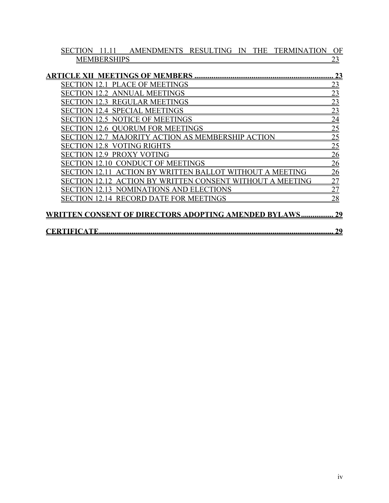| <b>SECTIO</b><br>١N |                    | <b>IDMENTS</b><br>. M F<br>'NH<br>A | <b>RESU</b><br><b>TING</b><br>$\mathbf{I}$ | N | TION<br>ER MIN A' |                |
|---------------------|--------------------|-------------------------------------|--------------------------------------------|---|-------------------|----------------|
|                     | <b>MEMBERSHIPS</b> |                                     |                                            |   |                   | $\sim$<br>ر_ ب |

| <b>ARTICLE XII MEETINGS OF MEMBERS</b>                       | 23        |
|--------------------------------------------------------------|-----------|
| <b>PLACE OF MEETINGS</b><br><b>SECTION</b><br>12.1           | 23        |
| <b>SECTION 12.2 ANNUAL MEETINGS</b>                          | 23        |
| <b>SECTION 12.3 REGULAR MEETINGS</b>                         | 23        |
| <b>SECTION 12.4 SPECIAL MEETINGS</b>                         | 23        |
| <b>SECTION 12.5 NOTICE OF MEETINGS</b>                       | 24        |
| <b>SECTION 12.6 QUORUM FOR MEETINGS</b>                      | 25        |
| SECTION 12.7 MAJORITY ACTION AS MEMBERSHIP ACTION            | 25        |
| <b>SECTION 12.8 VOTING RIGHTS</b>                            | 25        |
| PROXY VOTING<br>12.9<br>SECTION                              | 26        |
| CONDUCT OF MEETINGS<br>SECTION                               | <u>26</u> |
| ACTION BY WRITTEN BALLOT WITHOUT A MEETING<br>SECTION        | 26        |
| ACTION BY WRITTEN CONSENT WITHOUT A MEETING<br>SECTION<br>12 | 27        |
| NOMINATIONS AND ELECTIONS<br>$\mathcal{R}$<br>CTION          | 27        |
| <b>RECORD DATE FOR MEETINGS</b><br><b>SECTION 12.14</b>      | 28        |
|                                                              |           |
| <u>WRITTEN CONSENT OF DIRECTORS ADOPTING AMENDED BYLAWS.</u> | 29        |
| <b>CERTIFICATE</b>                                           | 29        |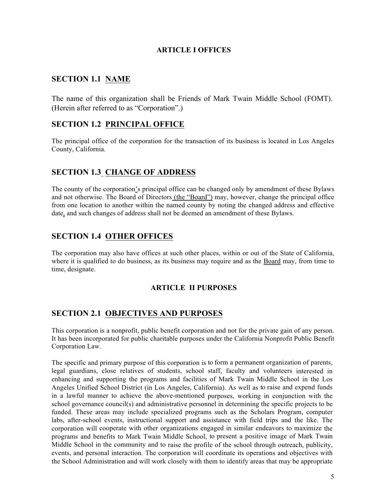## **ARTICLE I OFFICES**

## **SECTION 1.1 NAME**

The name of this organization shall be Friends of Mark Twain Middle School (FOMT). (Herein after referred to as "Corporation".)

## **SECTION 1.2 PRINCIPAL OFFICE**

The principal office of the corporation for the transaction of its business is located in Los Angeles County, California.

## **SECTION 1.3 CHANGE OF ADDRESS**

The county of the corporation's principal office can be changed only by amendment of these Bylaws and not otherwise. The Board of Directors (the "Board") may, however, change the principal office from one location to another within the named county by noting the changed address and effective date, and such changes of address shall not be deemed an amendment of these Bylaws.

## **SECTION 1.4 OTHER OFFICES**

The corporation may also have offices at such other places, within or out of the State of California, where it is qualified to do business, as its business may require and as the Board may, from time to time, designate.

## **ARTICLE II PURPOSES**

## **SECTION 2.1 OBJECTIVES AND PURPOSES**

This corporation is a nonprofit, public benefit corporation and not for the private gain of any person. It has been incorporated for public charitable purposes under the California Nonprofit Public Benefit Corporation Law.

The specific and primary purpose of this corporation is to form a permanent organization of parents, legal guardians, close relatives of students, school staff, faculty and volunteers interested in enhancing and supporting the programs and facilities of Mark Twain Middle School in the Los Angeles Unified School District (in Los Angeles, California). As well as to raise and expend funds in a lawful manner to achieve the above-mentioned purposes, working in conjunction with the school governance council(s) and administrative personnel in determining the specific projects to be funded. These areas may include specialized programs such as the Scholars Program, computer labs, after-school events, instructional support and assistance with field trips and the like. The corporation will cooperate with other organizations engaged in similar endeavors to maximize the programs and benefits to Mark Twain Middle School, to present a positive image of Mark Twain Middle School in the community and to raise the profile of the school through outreach, publicity, events, and personal interaction. The corporation will coordinate its operations and objectives with the School Administration and will work closely with them to identify areas that may be appropriate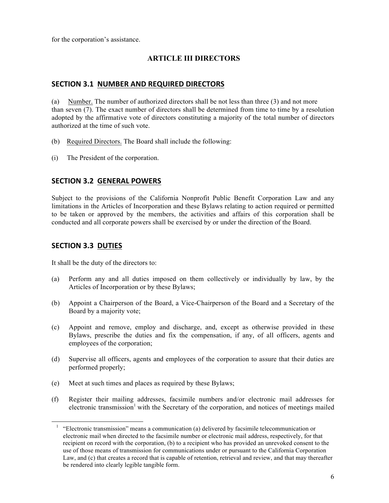for the corporation's assistance.

## **ARTICLE III DIRECTORS**

### **SECTION 3.1 NUMBER AND REQUIRED DIRECTORS**

(a) Number. The number of authorized directors shall be not less than three (3) and not more than seven (7). The exact number of directors shall be determined from time to time by a resolution adopted by the affirmative vote of directors constituting a majority of the total number of directors authorized at the time of such vote.

- (b) Required Directors. The Board shall include the following:
- (i) The President of the corporation.

## **SECTION 3.2 GENERAL POWERS**

Subject to the provisions of the California Nonprofit Public Benefit Corporation Law and any limitations in the Articles of Incorporation and these Bylaws relating to action required or permitted to be taken or approved by the members, the activities and affairs of this corporation shall be conducted and all corporate powers shall be exercised by or under the direction of the Board.

#### **SECTION 3.3 DUTIES**

It shall be the duty of the directors to:

- (a) Perform any and all duties imposed on them collectively or individually by law, by the Articles of Incorporation or by these Bylaws;
- (b) Appoint a Chairperson of the Board, a Vice-Chairperson of the Board and a Secretary of the Board by a majority vote;
- (c) Appoint and remove, employ and discharge, and, except as otherwise provided in these Bylaws, prescribe the duties and fix the compensation, if any, of all officers, agents and employees of the corporation;
- (d) Supervise all officers, agents and employees of the corporation to assure that their duties are performed properly;
- (e) Meet at such times and places as required by these Bylaws;
- (f) Register their mailing addresses, facsimile numbers and/or electronic mail addresses for electronic transmission<sup>1</sup> with the Secretary of the corporation, and notices of meetings mailed

<sup>&</sup>lt;sup>1</sup> "Electronic transmission" means a communication (a) delivered by facsimile telecommunication or electronic mail when directed to the facsimile number or electronic mail address, respectively, for that recipient on record with the corporation, (b) to a recipient who has provided an unrevoked consent to the use of those means of transmission for communications under or pursuant to the California Corporation Law, and (c) that creates a record that is capable of retention, retrieval and review, and that may thereafter be rendered into clearly legible tangible form.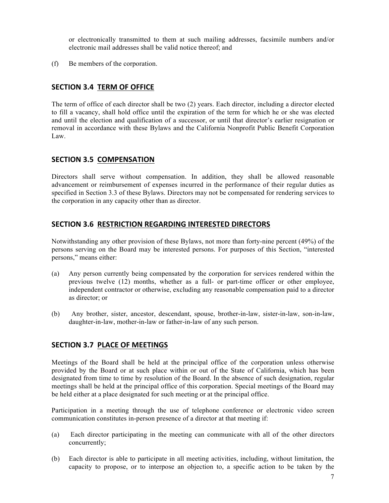or electronically transmitted to them at such mailing addresses, facsimile numbers and/or electronic mail addresses shall be valid notice thereof; and

(f) Be members of the corporation.

## **SECTION 3.4 TERM OF OFFICE**

The term of office of each director shall be two (2) years. Each director, including a director elected to fill a vacancy, shall hold office until the expiration of the term for which he or she was elected and until the election and qualification of a successor, or until that director's earlier resignation or removal in accordance with these Bylaws and the California Nonprofit Public Benefit Corporation Law.

## **SECTION 3.5 COMPENSATION**

Directors shall serve without compensation. In addition, they shall be allowed reasonable advancement or reimbursement of expenses incurred in the performance of their regular duties as specified in Section 3.3 of these Bylaws. Directors may not be compensated for rendering services to the corporation in any capacity other than as director.

## **SECTION 3.6 RESTRICTION REGARDING INTERESTED DIRECTORS**

Notwithstanding any other provision of these Bylaws, not more than forty-nine percent (49%) of the persons serving on the Board may be interested persons. For purposes of this Section, "interested persons," means either:

- (a) Any person currently being compensated by the corporation for services rendered within the previous twelve (12) months, whether as a full- or part-time officer or other employee, independent contractor or otherwise, excluding any reasonable compensation paid to a director as director; or
- (b) Any brother, sister, ancestor, descendant, spouse, brother-in-law, sister-in-law, son-in-law, daughter-in-law, mother-in-law or father-in-law of any such person.

## **SECTION 3.7 PLACE OF MEETINGS**

Meetings of the Board shall be held at the principal office of the corporation unless otherwise provided by the Board or at such place within or out of the State of California, which has been designated from time to time by resolution of the Board. In the absence of such designation, regular meetings shall be held at the principal office of this corporation. Special meetings of the Board may be held either at a place designated for such meeting or at the principal office.

Participation in a meeting through the use of telephone conference or electronic video screen communication constitutes in-person presence of a director at that meeting if:

- (a) Each director participating in the meeting can communicate with all of the other directors concurrently;
- (b) Each director is able to participate in all meeting activities, including, without limitation, the capacity to propose, or to interpose an objection to, a specific action to be taken by the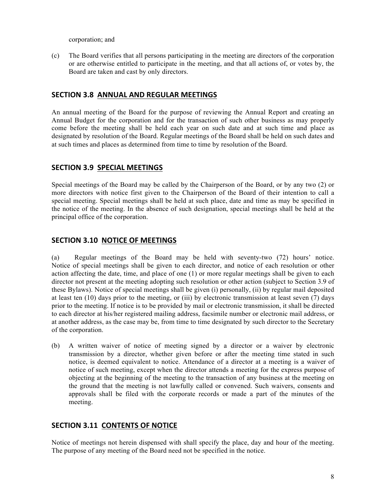corporation; and

(c) The Board verifies that all persons participating in the meeting are directors of the corporation or are otherwise entitled to participate in the meeting, and that all actions of, or votes by, the Board are taken and cast by only directors.

### **SECTION 3.8 ANNUAL AND REGULAR MEETINGS**

An annual meeting of the Board for the purpose of reviewing the Annual Report and creating an Annual Budget for the corporation and for the transaction of such other business as may properly come before the meeting shall be held each year on such date and at such time and place as designated by resolution of the Board. Regular meetings of the Board shall be held on such dates and at such times and places as determined from time to time by resolution of the Board.

## **SECTION 3.9 SPECIAL MEETINGS**

Special meetings of the Board may be called by the Chairperson of the Board, or by any two (2) or more directors with notice first given to the Chairperson of the Board of their intention to call a special meeting. Special meetings shall be held at such place, date and time as may be specified in the notice of the meeting. In the absence of such designation, special meetings shall be held at the principal office of the corporation.

## **SECTION 3.10 NOTICE OF MEETINGS**

(a) Regular meetings of the Board may be held with seventy-two (72) hours' notice. Notice of special meetings shall be given to each director, and notice of each resolution or other action affecting the date, time, and place of one (1) or more regular meetings shall be given to each director not present at the meeting adopting such resolution or other action (subject to Section 3.9 of these Bylaws). Notice of special meetings shall be given (i) personally, (ii) by regular mail deposited at least ten (10) days prior to the meeting, or (iii) by electronic transmission at least seven (7) days prior to the meeting. If notice is to be provided by mail or electronic transmission, it shall be directed to each director at his/her registered mailing address, facsimile number or electronic mail address, or at another address, as the case may be, from time to time designated by such director to the Secretary of the corporation.

(b) A written waiver of notice of meeting signed by a director or a waiver by electronic transmission by a director, whether given before or after the meeting time stated in such notice, is deemed equivalent to notice. Attendance of a director at a meeting is a waiver of notice of such meeting, except when the director attends a meeting for the express purpose of objecting at the beginning of the meeting to the transaction of any business at the meeting on the ground that the meeting is not lawfully called or convened. Such waivers, consents and approvals shall be filed with the corporate records or made a part of the minutes of the meeting.

## **SECTION 3.11 CONTENTS OF NOTICE**

Notice of meetings not herein dispensed with shall specify the place, day and hour of the meeting. The purpose of any meeting of the Board need not be specified in the notice.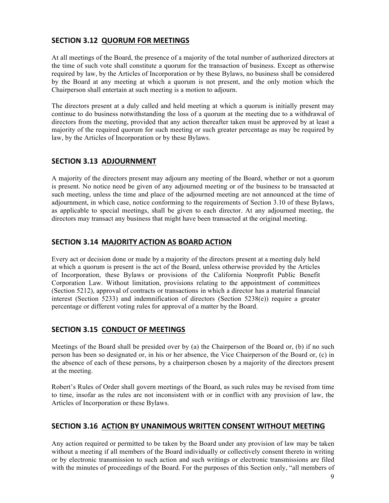## **SECTION 3.12 QUORUM FOR MEETINGS**

At all meetings of the Board, the presence of a majority of the total number of authorized directors at the time of such vote shall constitute a quorum for the transaction of business. Except as otherwise required by law, by the Articles of Incorporation or by these Bylaws, no business shall be considered by the Board at any meeting at which a quorum is not present, and the only motion which the Chairperson shall entertain at such meeting is a motion to adjourn.

The directors present at a duly called and held meeting at which a quorum is initially present may continue to do business notwithstanding the loss of a quorum at the meeting due to a withdrawal of directors from the meeting, provided that any action thereafter taken must be approved by at least a majority of the required quorum for such meeting or such greater percentage as may be required by law, by the Articles of Incorporation or by these Bylaws.

## **SECTION 3.13 ADJOURNMENT**

A majority of the directors present may adjourn any meeting of the Board, whether or not a quorum is present. No notice need be given of any adjourned meeting or of the business to be transacted at such meeting, unless the time and place of the adjourned meeting are not announced at the time of adjournment, in which case, notice conforming to the requirements of Section 3.10 of these Bylaws, as applicable to special meetings, shall be given to each director. At any adjourned meeting, the directors may transact any business that might have been transacted at the original meeting.

## **SECTION 3.14 MAJORITY ACTION AS BOARD ACTION**

Every act or decision done or made by a majority of the directors present at a meeting duly held at which a quorum is present is the act of the Board, unless otherwise provided by the Articles of Incorporation, these Bylaws or provisions of the California Nonprofit Public Benefit Corporation Law. Without limitation, provisions relating to the appointment of committees (Section 5212), approval of contracts or transactions in which a director has a material financial interest (Section 5233) and indemnification of directors (Section 5238(e)) require a greater percentage or different voting rules for approval of a matter by the Board.

## **SECTION 3.15 CONDUCT OF MEETINGS**

Meetings of the Board shall be presided over by (a) the Chairperson of the Board or, (b) if no such person has been so designated or, in his or her absence, the Vice Chairperson of the Board or, (c) in the absence of each of these persons, by a chairperson chosen by a majority of the directors present at the meeting.

Robert's Rules of Order shall govern meetings of the Board, as such rules may be revised from time to time, insofar as the rules are not inconsistent with or in conflict with any provision of law, the Articles of Incorporation or these Bylaws.

## **SECTION 3.16 ACTION BY UNANIMOUS WRITTEN CONSENT WITHOUT MEETING**

Any action required or permitted to be taken by the Board under any provision of law may be taken without a meeting if all members of the Board individually or collectively consent thereto in writing or by electronic transmission to such action and such writings or electronic transmissions are filed with the minutes of proceedings of the Board. For the purposes of this Section only, "all members of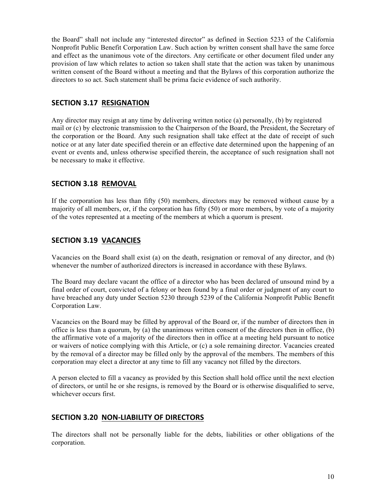the Board" shall not include any "interested director" as defined in Section 5233 of the California Nonprofit Public Benefit Corporation Law. Such action by written consent shall have the same force and effect as the unanimous vote of the directors. Any certificate or other document filed under any provision of law which relates to action so taken shall state that the action was taken by unanimous written consent of the Board without a meeting and that the Bylaws of this corporation authorize the directors to so act. Such statement shall be prima facie evidence of such authority.

## **SECTION 3.17 RESIGNATION**

Any director may resign at any time by delivering written notice (a) personally, (b) by registered mail or (c) by electronic transmission to the Chairperson of the Board, the President, the Secretary of the corporation or the Board. Any such resignation shall take effect at the date of receipt of such notice or at any later date specified therein or an effective date determined upon the happening of an event or events and, unless otherwise specified therein, the acceptance of such resignation shall not be necessary to make it effective.

## **SECTION 3.18 REMOVAL**

If the corporation has less than fifty (50) members, directors may be removed without cause by a majority of all members, or, if the corporation has fifty (50) or more members, by vote of a majority of the votes represented at a meeting of the members at which a quorum is present.

## **SECTION 3.19 VACANCIES**

Vacancies on the Board shall exist (a) on the death, resignation or removal of any director, and (b) whenever the number of authorized directors is increased in accordance with these Bylaws.

The Board may declare vacant the office of a director who has been declared of unsound mind by a final order of court, convicted of a felony or been found by a final order or judgment of any court to have breached any duty under Section 5230 through 5239 of the California Nonprofit Public Benefit Corporation Law.

Vacancies on the Board may be filled by approval of the Board or, if the number of directors then in office is less than a quorum, by (a) the unanimous written consent of the directors then in office, (b) the affirmative vote of a majority of the directors then in office at a meeting held pursuant to notice or waivers of notice complying with this Article, or (c) a sole remaining director. Vacancies created by the removal of a director may be filled only by the approval of the members. The members of this corporation may elect a director at any time to fill any vacancy not filled by the directors.

A person elected to fill a vacancy as provided by this Section shall hold office until the next election of directors, or until he or she resigns, is removed by the Board or is otherwise disqualified to serve, whichever occurs first.

## **SECTION 3.20 NON-LIABILITY OF DIRECTORS**

The directors shall not be personally liable for the debts, liabilities or other obligations of the corporation.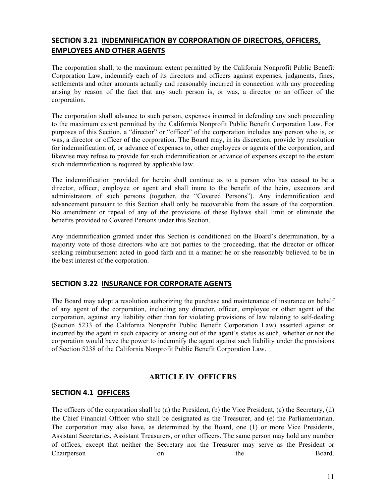## **SECTION 3.21 INDEMNIFICATION BY CORPORATION OF DIRECTORS, OFFICERS, EMPLOYEES AND OTHER AGENTS**

The corporation shall, to the maximum extent permitted by the California Nonprofit Public Benefit Corporation Law, indemnify each of its directors and officers against expenses, judgments, fines, settlements and other amounts actually and reasonably incurred in connection with any proceeding arising by reason of the fact that any such person is, or was, a director or an officer of the corporation.

The corporation shall advance to such person, expenses incurred in defending any such proceeding to the maximum extent permitted by the California Nonprofit Public Benefit Corporation Law. For purposes of this Section, a "director" or "officer" of the corporation includes any person who is, or was, a director or officer of the corporation. The Board may, in its discretion, provide by resolution for indemnification of, or advance of expenses to, other employees or agents of the corporation, and likewise may refuse to provide for such indemnification or advance of expenses except to the extent such indemnification is required by applicable law.

The indemnification provided for herein shall continue as to a person who has ceased to be a director, officer, employee or agent and shall inure to the benefit of the heirs, executors and administrators of such persons (together, the "Covered Persons"). Any indemnification and advancement pursuant to this Section shall only be recoverable from the assets of the corporation. No amendment or repeal of any of the provisions of these Bylaws shall limit or eliminate the benefits provided to Covered Persons under this Section.

Any indemnification granted under this Section is conditioned on the Board's determination, by a majority vote of those directors who are not parties to the proceeding, that the director or officer seeking reimbursement acted in good faith and in a manner he or she reasonably believed to be in the best interest of the corporation.

## **SECTION 3.22 INSURANCE FOR CORPORATE AGENTS**

The Board may adopt a resolution authorizing the purchase and maintenance of insurance on behalf of any agent of the corporation, including any director, officer, employee or other agent of the corporation, against any liability other than for violating provisions of law relating to self-dealing (Section 5233 of the California Nonprofit Public Benefit Corporation Law) asserted against or incurred by the agent in such capacity or arising out of the agent's status as such, whether or not the corporation would have the power to indemnify the agent against such liability under the provisions of Section 5238 of the California Nonprofit Public Benefit Corporation Law.

## **ARTICLE IV OFFICERS**

#### **SECTION 4.1 OFFICERS**

The officers of the corporation shall be (a) the President, (b) the Vice President, (c) the Secretary, (d) the Chief Financial Officer who shall be designated as the Treasurer, and (e) the Parliamentarian. The corporation may also have, as determined by the Board, one (1) or more Vice Presidents, Assistant Secretaries, Assistant Treasurers, or other officers. The same person may hold any number of offices, except that neither the Secretary nor the Treasurer may serve as the President or Chairperson on on the Board.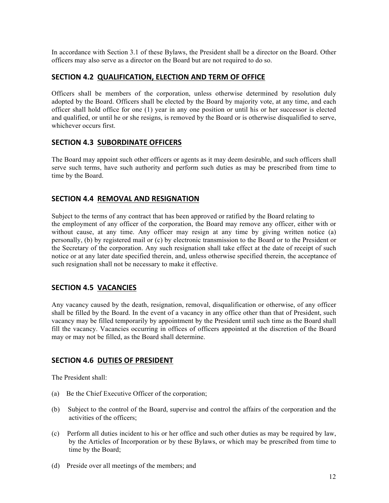In accordance with Section 3.1 of these Bylaws, the President shall be a director on the Board. Other officers may also serve as a director on the Board but are not required to do so.

### **SECTION 4.2 QUALIFICATION, ELECTION AND TERM OF OFFICE**

Officers shall be members of the corporation, unless otherwise determined by resolution duly adopted by the Board. Officers shall be elected by the Board by majority vote, at any time, and each officer shall hold office for one (1) year in any one position or until his or her successor is elected and qualified, or until he or she resigns, is removed by the Board or is otherwise disqualified to serve, whichever occurs first.

### **SECTION 4.3 SUBORDINATE OFFICERS**

The Board may appoint such other officers or agents as it may deem desirable, and such officers shall serve such terms, have such authority and perform such duties as may be prescribed from time to time by the Board.

## **SECTION 4.4 REMOVAL AND RESIGNATION**

Subject to the terms of any contract that has been approved or ratified by the Board relating to the employment of any officer of the corporation, the Board may remove any officer, either with or without cause, at any time. Any officer may resign at any time by giving written notice (a) personally, (b) by registered mail or (c) by electronic transmission to the Board or to the President or the Secretary of the corporation. Any such resignation shall take effect at the date of receipt of such notice or at any later date specified therein, and, unless otherwise specified therein, the acceptance of such resignation shall not be necessary to make it effective.

#### **SECTION 4.5 VACANCIES**

Any vacancy caused by the death, resignation, removal, disqualification or otherwise, of any officer shall be filled by the Board. In the event of a vacancy in any office other than that of President, such vacancy may be filled temporarily by appointment by the President until such time as the Board shall fill the vacancy. Vacancies occurring in offices of officers appointed at the discretion of the Board may or may not be filled, as the Board shall determine.

#### **SECTION 4.6 DUTIES OF PRESIDENT**

The President shall:

- (a) Be the Chief Executive Officer of the corporation;
- (b) Subject to the control of the Board, supervise and control the affairs of the corporation and the activities of the officers;
- (c) Perform all duties incident to his or her office and such other duties as may be required by law, by the Articles of Incorporation or by these Bylaws, or which may be prescribed from time to time by the Board;
- (d) Preside over all meetings of the members; and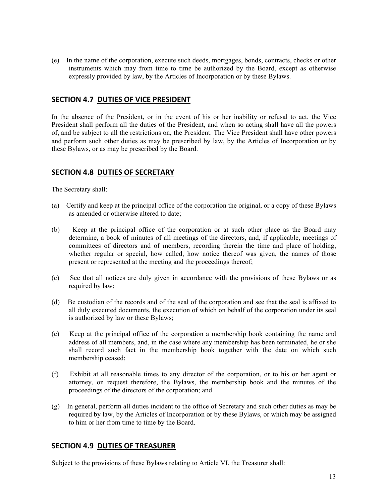(e) In the name of the corporation, execute such deeds, mortgages, bonds, contracts, checks or other instruments which may from time to time be authorized by the Board, except as otherwise expressly provided by law, by the Articles of Incorporation or by these Bylaws.

## **SECTION 4.7 DUTIES OF VICE PRESIDENT**

In the absence of the President, or in the event of his or her inability or refusal to act, the Vice President shall perform all the duties of the President, and when so acting shall have all the powers of, and be subject to all the restrictions on, the President. The Vice President shall have other powers and perform such other duties as may be prescribed by law, by the Articles of Incorporation or by these Bylaws, or as may be prescribed by the Board.

### **SECTION 4.8 DUTIES OF SECRETARY**

The Secretary shall:

- (a) Certify and keep at the principal office of the corporation the original, or a copy of these Bylaws as amended or otherwise altered to date;
- (b) Keep at the principal office of the corporation or at such other place as the Board may determine, a book of minutes of all meetings of the directors, and, if applicable, meetings of committees of directors and of members, recording therein the time and place of holding, whether regular or special, how called, how notice thereof was given, the names of those present or represented at the meeting and the proceedings thereof;
- (c) See that all notices are duly given in accordance with the provisions of these Bylaws or as required by law;
- (d) Be custodian of the records and of the seal of the corporation and see that the seal is affixed to all duly executed documents, the execution of which on behalf of the corporation under its seal is authorized by law or these Bylaws;
- (e) Keep at the principal office of the corporation a membership book containing the name and address of all members, and, in the case where any membership has been terminated, he or she shall record such fact in the membership book together with the date on which such membership ceased;
- (f) Exhibit at all reasonable times to any director of the corporation, or to his or her agent or attorney, on request therefore, the Bylaws, the membership book and the minutes of the proceedings of the directors of the corporation; and
- (g) In general, perform all duties incident to the office of Secretary and such other duties as may be required by law, by the Articles of Incorporation or by these Bylaws, or which may be assigned to him or her from time to time by the Board.

## **SECTION 4.9 DUTIES OF TREASURER**

Subject to the provisions of these Bylaws relating to Article VI, the Treasurer shall: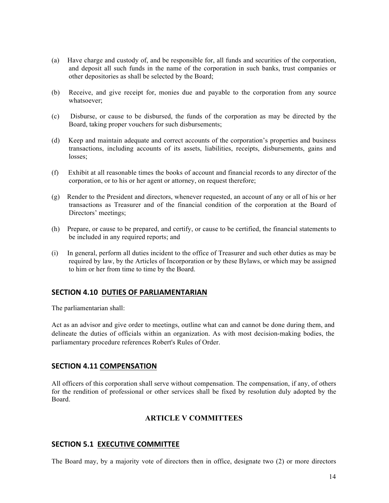- (a) Have charge and custody of, and be responsible for, all funds and securities of the corporation, and deposit all such funds in the name of the corporation in such banks, trust companies or other depositories as shall be selected by the Board;
- (b) Receive, and give receipt for, monies due and payable to the corporation from any source whatsoever;
- (c) Disburse, or cause to be disbursed, the funds of the corporation as may be directed by the Board, taking proper vouchers for such disbursements;
- (d) Keep and maintain adequate and correct accounts of the corporation's properties and business transactions, including accounts of its assets, liabilities, receipts, disbursements, gains and losses;
- (f) Exhibit at all reasonable times the books of account and financial records to any director of the corporation, or to his or her agent or attorney, on request therefore;
- (g) Render to the President and directors, whenever requested, an account of any or all of his or her transactions as Treasurer and of the financial condition of the corporation at the Board of Directors' meetings;
- (h) Prepare, or cause to be prepared, and certify, or cause to be certified, the financial statements to be included in any required reports; and
- (i) In general, perform all duties incident to the office of Treasurer and such other duties as may be required by law, by the Articles of Incorporation or by these Bylaws, or which may be assigned to him or her from time to time by the Board.

## **SECTION 4.10 DUTIES OF PARLIAMENTARIAN**

The parliamentarian shall:

Act as an advisor and give order to meetings, outline what can and cannot be done during them, and delineate the duties of officials within an organization. As with most decision-making bodies, the parliamentary procedure references Robert's Rules of Order.

#### **SECTION 4.11 COMPENSATION**

All officers of this corporation shall serve without compensation. The compensation, if any, of others for the rendition of professional or other services shall be fixed by resolution duly adopted by the Board.

## **ARTICLE V COMMITTEES**

#### **SECTION 5.1 EXECUTIVE COMMITTEE**

The Board may, by a majority vote of directors then in office, designate two (2) or more directors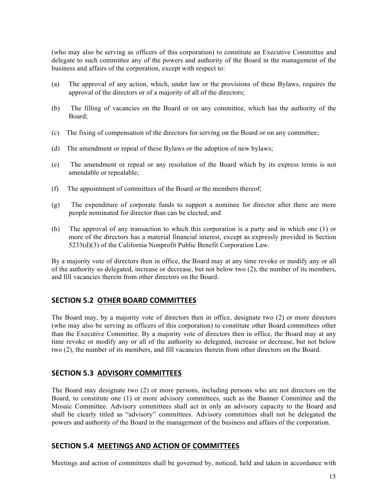(who may also be serving as officers of this corporation) to constitute an Executive Committee and delegate to such committee any of the powers and authority of the Board in the management of the business and affairs of the corporation, except with respect to:

- (a) The approval of any action, which, under law or the provisions of these Bylaws, requires the approval of the directors or of a majority of all of the directors;
- (b) The filling of vacancies on the Board or on any committee, which has the authority of the Board;
- (c) The fixing of compensation of the directors for serving on the Board or on any committee;
- (d) The amendment or repeal of these Bylaws or the adoption of new bylaws;
- (e) The amendment or repeal or any resolution of the Board which by its express terms is not amendable or repealable;
- (f) The appointment of committees of the Board or the members thereof;
- (g) The expenditure of corporate funds to support a nominee for director after there are more people nominated for director than can be elected; and
- (h) The approval of any transaction to which this corporation is a party and in which one (1) or more of the directors has a material financial interest, except as expressly provided in Section 5233(d)(3) of the California Nonprofit Public Benefit Corporation Law.

By a majority vote of directors then in office, the Board may at any time revoke or modify any or all of the authority so delegated, increase or decrease, but not below two (2), the number of its members, and fill vacancies therein from other directors on the Board.

## **SECTION 5.2 OTHER BOARD COMMITTEES**

The Board may, by a majority vote of directors then in office, designate two (2) or more directors (who may also be serving as officers of this corporation) to constitute other Board committees other than the Executive Committee. By a majority vote of directors then in office, the Board may at any time revoke or modify any or all of the authority so delegated, increase or decrease, but not below two (2), the number of its members, and fill vacancies therein from other directors on the Board.

## **SECTION 5.3 ADVISORY COMMITTEES**

The Board may designate two (2) or more persons, including persons who are not directors on the Board, to constitute one (1) or more advisory committees, such as the Banner Committee and the Mosaic Committee. Advisory committees shall act in only an advisory capacity to the Board and shall be clearly titled as "advisory" committees. Advisory committees shall not be delegated the powers and authority of the Board in the management of the business and affairs of the corporation.

#### **SECTION 5.4 MEETINGS AND ACTION OF COMMITTEES**

Meetings and action of committees shall be governed by, noticed, held and taken in accordance with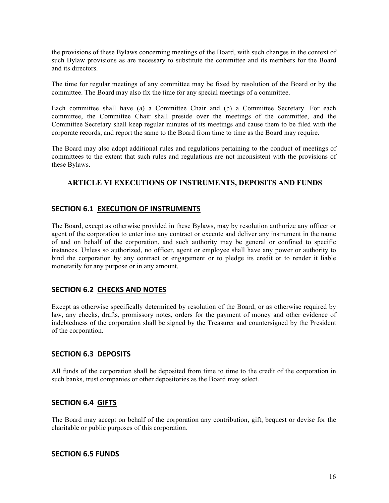the provisions of these Bylaws concerning meetings of the Board, with such changes in the context of such Bylaw provisions as are necessary to substitute the committee and its members for the Board and its directors.

The time for regular meetings of any committee may be fixed by resolution of the Board or by the committee. The Board may also fix the time for any special meetings of a committee.

Each committee shall have (a) a Committee Chair and (b) a Committee Secretary. For each committee, the Committee Chair shall preside over the meetings of the committee, and the Committee Secretary shall keep regular minutes of its meetings and cause them to be filed with the corporate records, and report the same to the Board from time to time as the Board may require.

The Board may also adopt additional rules and regulations pertaining to the conduct of meetings of committees to the extent that such rules and regulations are not inconsistent with the provisions of these Bylaws.

## **ARTICLE VI EXECUTIONS OF INSTRUMENTS, DEPOSITS AND FUNDS**

## **SECTION 6.1 EXECUTION OF INSTRUMENTS**

The Board, except as otherwise provided in these Bylaws, may by resolution authorize any officer or agent of the corporation to enter into any contract or execute and deliver any instrument in the name of and on behalf of the corporation, and such authority may be general or confined to specific instances. Unless so authorized, no officer, agent or employee shall have any power or authority to bind the corporation by any contract or engagement or to pledge its credit or to render it liable monetarily for any purpose or in any amount.

## **SECTION 6.2 CHECKS AND NOTES**

Except as otherwise specifically determined by resolution of the Board, or as otherwise required by law, any checks, drafts, promissory notes, orders for the payment of money and other evidence of indebtedness of the corporation shall be signed by the Treasurer and countersigned by the President of the corporation.

#### **SECTION 6.3 DEPOSITS**

All funds of the corporation shall be deposited from time to time to the credit of the corporation in such banks, trust companies or other depositories as the Board may select.

#### **SECTION 6.4 GIFTS**

The Board may accept on behalf of the corporation any contribution, gift, bequest or devise for the charitable or public purposes of this corporation.

#### **SECTION 6.5 FUNDS**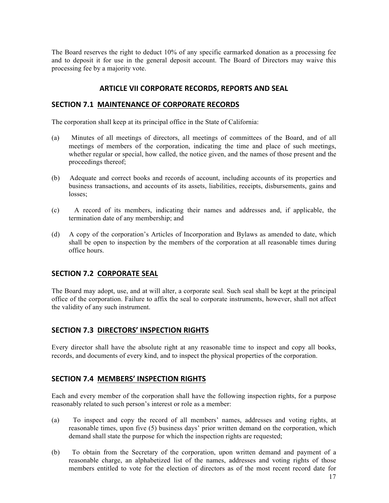The Board reserves the right to deduct 10% of any specific earmarked donation as a processing fee and to deposit it for use in the general deposit account. The Board of Directors may waive this processing fee by a majority vote.

## **ARTICLE VII CORPORATE RECORDS, REPORTS AND SEAL**

#### **SECTION 7.1 MAINTENANCE OF CORPORATE RECORDS**

The corporation shall keep at its principal office in the State of California:

- (a) Minutes of all meetings of directors, all meetings of committees of the Board, and of all meetings of members of the corporation, indicating the time and place of such meetings, whether regular or special, how called, the notice given, and the names of those present and the proceedings thereof;
- (b) Adequate and correct books and records of account, including accounts of its properties and business transactions, and accounts of its assets, liabilities, receipts, disbursements, gains and losses;
- (c) A record of its members, indicating their names and addresses and, if applicable, the termination date of any membership; and
- (d) A copy of the corporation's Articles of Incorporation and Bylaws as amended to date, which shall be open to inspection by the members of the corporation at all reasonable times during office hours.

#### **SECTION 7.2 CORPORATE SEAL**

The Board may adopt, use, and at will alter, a corporate seal. Such seal shall be kept at the principal office of the corporation. Failure to affix the seal to corporate instruments, however, shall not affect the validity of any such instrument.

#### **SECTION 7.3 DIRECTORS' INSPECTION RIGHTS**

Every director shall have the absolute right at any reasonable time to inspect and copy all books, records, and documents of every kind, and to inspect the physical properties of the corporation.

### **SECTION 7.4 MEMBERS' INSPECTION RIGHTS**

Each and every member of the corporation shall have the following inspection rights, for a purpose reasonably related to such person's interest or role as a member:

- (a) To inspect and copy the record of all members' names, addresses and voting rights, at reasonable times, upon five (5) business days' prior written demand on the corporation, which demand shall state the purpose for which the inspection rights are requested;
- (b) To obtain from the Secretary of the corporation, upon written demand and payment of a reasonable charge, an alphabetized list of the names, addresses and voting rights of those members entitled to vote for the election of directors as of the most recent record date for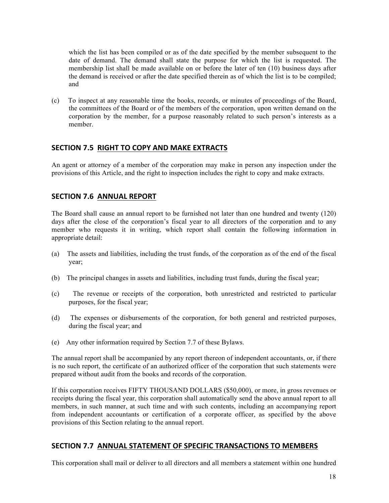which the list has been compiled or as of the date specified by the member subsequent to the date of demand. The demand shall state the purpose for which the list is requested. The membership list shall be made available on or before the later of ten (10) business days after the demand is received or after the date specified therein as of which the list is to be compiled; and

(c) To inspect at any reasonable time the books, records, or minutes of proceedings of the Board, the committees of the Board or of the members of the corporation, upon written demand on the corporation by the member, for a purpose reasonably related to such person's interests as a member.

### **SECTION 7.5 RIGHT TO COPY AND MAKE EXTRACTS**

An agent or attorney of a member of the corporation may make in person any inspection under the provisions of this Article, and the right to inspection includes the right to copy and make extracts.

## **SECTION 7.6 ANNUAL REPORT**

The Board shall cause an annual report to be furnished not later than one hundred and twenty (120) days after the close of the corporation's fiscal year to all directors of the corporation and to any member who requests it in writing, which report shall contain the following information in appropriate detail:

- (a) The assets and liabilities, including the trust funds, of the corporation as of the end of the fiscal year;
- (b) The principal changes in assets and liabilities, including trust funds, during the fiscal year;
- (c) The revenue or receipts of the corporation, both unrestricted and restricted to particular purposes, for the fiscal year;
- (d) The expenses or disbursements of the corporation, for both general and restricted purposes, during the fiscal year; and
- (e) Any other information required by Section 7.7 of these Bylaws.

The annual report shall be accompanied by any report thereon of independent accountants, or, if there is no such report, the certificate of an authorized officer of the corporation that such statements were prepared without audit from the books and records of the corporation.

If this corporation receives FIFTY THOUSAND DOLLARS (\$50,000), or more, in gross revenues or receipts during the fiscal year, this corporation shall automatically send the above annual report to all members, in such manner, at such time and with such contents, including an accompanying report from independent accountants or certification of a corporate officer, as specified by the above provisions of this Section relating to the annual report.

#### **SECTION 7.7 ANNUAL STATEMENT OF SPECIFIC TRANSACTIONS TO MEMBERS**

This corporation shall mail or deliver to all directors and all members a statement within one hundred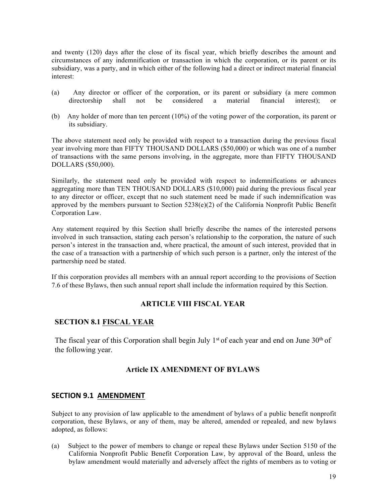and twenty (120) days after the close of its fiscal year, which briefly describes the amount and circumstances of any indemnification or transaction in which the corporation, or its parent or its subsidiary, was a party, and in which either of the following had a direct or indirect material financial interest:

- (a) Any director or officer of the corporation, or its parent or subsidiary (a mere common directorship shall not be considered a material financial interest);
- (b) Any holder of more than ten percent (10%) of the voting power of the corporation, its parent or its subsidiary.

The above statement need only be provided with respect to a transaction during the previous fiscal year involving more than FIFTY THOUSAND DOLLARS (\$50,000) or which was one of a number of transactions with the same persons involving, in the aggregate, more than FIFTY THOUSAND DOLLARS (\$50,000).

Similarly, the statement need only be provided with respect to indemnifications or advances aggregating more than TEN THOUSAND DOLLARS (\$10,000) paid during the previous fiscal year to any director or officer, except that no such statement need be made if such indemnification was approved by the members pursuant to Section  $5238(e)(2)$  of the California Nonprofit Public Benefit Corporation Law.

Any statement required by this Section shall briefly describe the names of the interested persons involved in such transaction, stating each person's relationship to the corporation, the nature of such person's interest in the transaction and, where practical, the amount of such interest, provided that in the case of a transaction with a partnership of which such person is a partner, only the interest of the partnership need be stated.

If this corporation provides all members with an annual report according to the provisions of Section 7.6 of these Bylaws, then such annual report shall include the information required by this Section.

## **ARTICLE VIII FISCAL YEAR**

#### **SECTION 8.1 FISCAL YEAR**

The fiscal year of this Corporation shall begin July  $1<sup>st</sup>$  of each year and end on June 30<sup>th</sup> of the following year.

## **Article IX AMENDMENT OF BYLAWS**

#### **SECTION 9.1 AMENDMENT**

Subject to any provision of law applicable to the amendment of bylaws of a public benefit nonprofit corporation, these Bylaws, or any of them, may be altered, amended or repealed, and new bylaws adopted, as follows:

(a) Subject to the power of members to change or repeal these Bylaws under Section 5150 of the California Nonprofit Public Benefit Corporation Law, by approval of the Board, unless the bylaw amendment would materially and adversely affect the rights of members as to voting or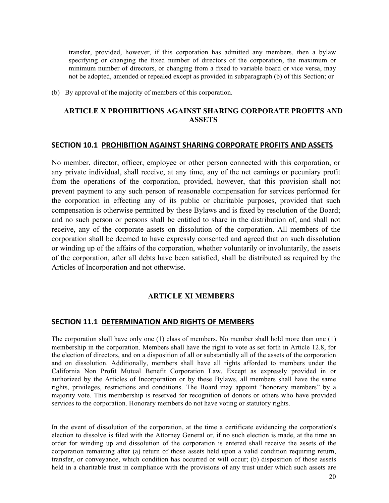transfer, provided, however, if this corporation has admitted any members, then a bylaw specifying or changing the fixed number of directors of the corporation, the maximum or minimum number of directors, or changing from a fixed to variable board or vice versa, may not be adopted, amended or repealed except as provided in subparagraph (b) of this Section; or

(b) By approval of the majority of members of this corporation.

## **ARTICLE X PROHIBITIONS AGAINST SHARING CORPORATE PROFITS AND ASSETS**

#### **SECTION 10.1 PROHIBITION AGAINST SHARING CORPORATE PROFITS AND ASSETS**

No member, director, officer, employee or other person connected with this corporation, or any private individual, shall receive, at any time, any of the net earnings or pecuniary profit from the operations of the corporation, provided, however, that this provision shall not prevent payment to any such person of reasonable compensation for services performed for the corporation in effecting any of its public or charitable purposes, provided that such compensation is otherwise permitted by these Bylaws and is fixed by resolution of the Board; and no such person or persons shall be entitled to share in the distribution of, and shall not receive, any of the corporate assets on dissolution of the corporation. All members of the corporation shall be deemed to have expressly consented and agreed that on such dissolution or winding up of the affairs of the corporation, whether voluntarily or involuntarily, the assets of the corporation, after all debts have been satisfied, shall be distributed as required by the Articles of Incorporation and not otherwise.

#### **ARTICLE XI MEMBERS**

## **SECTION 11.1 DETERMINATION AND RIGHTS OF MEMBERS**

The corporation shall have only one (1) class of members. No member shall hold more than one (1) membership in the corporation. Members shall have the right to vote as set forth in Article 12.8, for the election of directors, and on a disposition of all or substantially all of the assets of the corporation and on dissolution. Additionally, members shall have all rights afforded to members under the California Non Profit Mutual Benefit Corporation Law. Except as expressly provided in or authorized by the Articles of Incorporation or by these Bylaws, all members shall have the same rights, privileges, restrictions and conditions. The Board may appoint "honorary members" by a majority vote. This membership is reserved for recognition of donors or others who have provided services to the corporation. Honorary members do not have voting or statutory rights.

In the event of dissolution of the corporation, at the time a certificate evidencing the corporation's election to dissolve is filed with the Attorney General or, if no such election is made, at the time an order for winding up and dissolution of the corporation is entered shall receive the assets of the corporation remaining after (a) return of those assets held upon a valid condition requiring return, transfer, or conveyance, which condition has occurred or will occur; (b) disposition of those assets held in a charitable trust in compliance with the provisions of any trust under which such assets are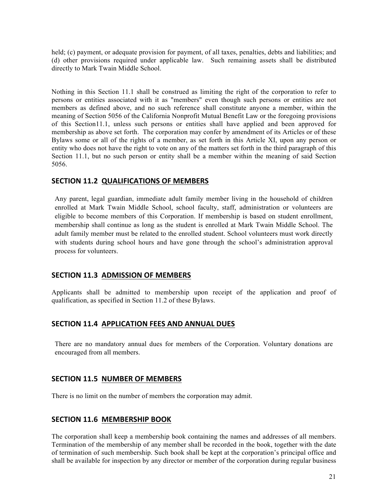held; (c) payment, or adequate provision for payment, of all taxes, penalties, debts and liabilities; and (d) other provisions required under applicable law. Such remaining assets shall be distributed directly to Mark Twain Middle School.

Nothing in this Section 11.1 shall be construed as limiting the right of the corporation to refer to persons or entities associated with it as "members" even though such persons or entities are not members as defined above, and no such reference shall constitute anyone a member, within the meaning of Section 5056 of the California Nonprofit Mutual Benefit Law or the foregoing provisions of this Section11.1, unless such persons or entities shall have applied and been approved for membership as above set forth. The corporation may confer by amendment of its Articles or of these Bylaws some or all of the rights of a member, as set forth in this Article XI, upon any person or entity who does not have the right to vote on any of the matters set forth in the third paragraph of this Section 11.1, but no such person or entity shall be a member within the meaning of said Section 5056.

### **SECTION 11.2 QUALIFICATIONS OF MEMBERS**

Any parent, legal guardian, immediate adult family member living in the household of children enrolled at Mark Twain Middle School, school faculty, staff, administration or volunteers are eligible to become members of this Corporation. If membership is based on student enrollment, membership shall continue as long as the student is enrolled at Mark Twain Middle School. The adult family member must be related to the enrolled student. School volunteers must work directly with students during school hours and have gone through the school's administration approval process for volunteers.

#### **SECTION 11.3 ADMISSION OF MEMBERS**

Applicants shall be admitted to membership upon receipt of the application and proof of qualification, as specified in Section 11.2 of these Bylaws.

## **SECTION 11.4 APPLICATION FEES AND ANNUAL DUES**

There are no mandatory annual dues for members of the Corporation. Voluntary donations are encouraged from all members.

## **SECTION 11.5 NUMBER OF MEMBERS**

There is no limit on the number of members the corporation may admit.

#### **SECTION 11.6 MEMBERSHIP BOOK**

The corporation shall keep a membership book containing the names and addresses of all members. Termination of the membership of any member shall be recorded in the book, together with the date of termination of such membership. Such book shall be kept at the corporation's principal office and shall be available for inspection by any director or member of the corporation during regular business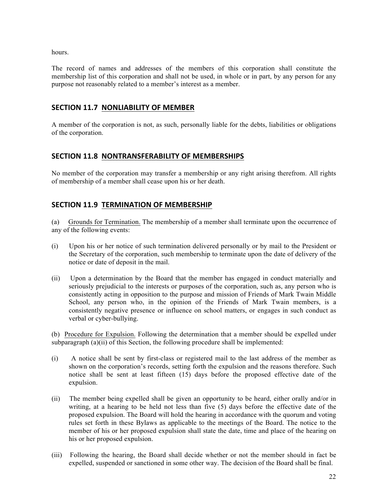hours.

The record of names and addresses of the members of this corporation shall constitute the membership list of this corporation and shall not be used, in whole or in part, by any person for any purpose not reasonably related to a member's interest as a member.

## **SECTION 11.7 NONLIABILITY OF MEMBER**

A member of the corporation is not, as such, personally liable for the debts, liabilities or obligations of the corporation.

## SECTION 11.8 NONTRANSFERABILITY OF MEMBERSHIPS

No member of the corporation may transfer a membership or any right arising therefrom. All rights of membership of a member shall cease upon his or her death.

## **SECTION 11.9 TERMINATION OF MEMBERSHIP**

(a) Grounds for Termination. The membership of a member shall terminate upon the occurrence of any of the following events:

- (i) Upon his or her notice of such termination delivered personally or by mail to the President or the Secretary of the corporation, such membership to terminate upon the date of delivery of the notice or date of deposit in the mail.
- (ii) Upon a determination by the Board that the member has engaged in conduct materially and seriously prejudicial to the interests or purposes of the corporation, such as, any person who is consistently acting in opposition to the purpose and mission of Friends of Mark Twain Middle School, any person who, in the opinion of the Friends of Mark Twain members, is a consistently negative presence or influence on school matters, or engages in such conduct as verbal or cyber-bullying.

(b) Procedure for Expulsion. Following the determination that a member should be expelled under subparagraph (a)(ii) of this Section, the following procedure shall be implemented:

- (i) A notice shall be sent by first-class or registered mail to the last address of the member as shown on the corporation's records, setting forth the expulsion and the reasons therefore. Such notice shall be sent at least fifteen (15) days before the proposed effective date of the expulsion.
- (ii) The member being expelled shall be given an opportunity to be heard, either orally and/or in writing, at a hearing to be held not less than five (5) days before the effective date of the proposed expulsion. The Board will hold the hearing in accordance with the quorum and voting rules set forth in these Bylaws as applicable to the meetings of the Board. The notice to the member of his or her proposed expulsion shall state the date, time and place of the hearing on his or her proposed expulsion.
- (iii) Following the hearing, the Board shall decide whether or not the member should in fact be expelled, suspended or sanctioned in some other way. The decision of the Board shall be final.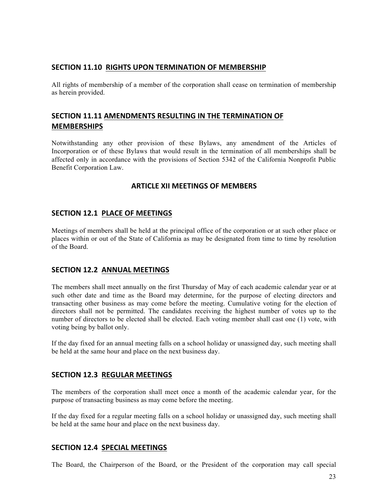## **SECTION 11.10 RIGHTS UPON TERMINATION OF MEMBERSHIP**

All rights of membership of a member of the corporation shall cease on termination of membership as herein provided.

## **SECTION 11.11 AMENDMENTS RESULTING IN THE TERMINATION OF MEMBERSHIPS**

Notwithstanding any other provision of these Bylaws, any amendment of the Articles of Incorporation or of these Bylaws that would result in the termination of all memberships shall be affected only in accordance with the provisions of Section 5342 of the California Nonprofit Public Benefit Corporation Law.

## **ARTICLE XII MEETINGS OF MEMBERS**

## **SECTION 12.1 PLACE OF MEETINGS**

Meetings of members shall be held at the principal office of the corporation or at such other place or places within or out of the State of California as may be designated from time to time by resolution of the Board.

## **SECTION 12.2 ANNUAL MEETINGS**

The members shall meet annually on the first Thursday of May of each academic calendar year or at such other date and time as the Board may determine, for the purpose of electing directors and transacting other business as may come before the meeting. Cumulative voting for the election of directors shall not be permitted. The candidates receiving the highest number of votes up to the number of directors to be elected shall be elected. Each voting member shall cast one (1) vote, with voting being by ballot only.

If the day fixed for an annual meeting falls on a school holiday or unassigned day, such meeting shall be held at the same hour and place on the next business day.

## **SECTION 12.3 REGULAR MEETINGS**

The members of the corporation shall meet once a month of the academic calendar year, for the purpose of transacting business as may come before the meeting.

If the day fixed for a regular meeting falls on a school holiday or unassigned day, such meeting shall be held at the same hour and place on the next business day.

## **SECTION 12.4 SPECIAL MEETINGS**

The Board, the Chairperson of the Board, or the President of the corporation may call special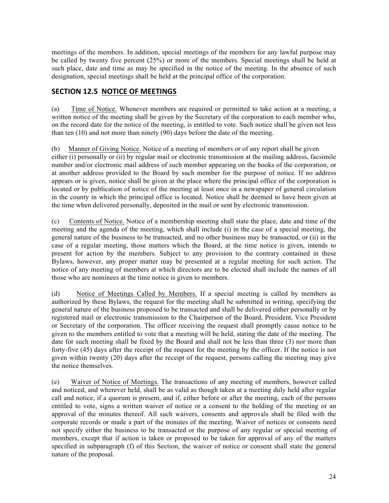meetings of the members. In addition, special meetings of the members for any lawful purpose may be called by twenty five percent (25%) or more of the members. Special meetings shall be held at such place, date and time as may be specified in the notice of the meeting. In the absence of such designation, special meetings shall be held at the principal office of the corporation.

## **SECTION 12.5 NOTICE OF MEETINGS**

(a) Time of Notice. Whenever members are required or permitted to take action at a meeting, a written notice of the meeting shall be given by the Secretary of the corporation to each member who, on the record date for the notice of the meeting, is entitled to vote. Such notice shall be given not less than ten (10) and not more than ninety (90) days before the date of the meeting.

(b) Manner of Giving Notice. Notice of a meeting of members or of any report shall be given either (i) personally or (ii) by regular mail or electronic transmission at the mailing address, facsimile number and/or electronic mail address of such member appearing on the books of the corporation, or at another address provided to the Board by such member for the purpose of notice. If no address appears or is given, notice shall be given at the place where the principal office of the corporation is located or by publication of notice of the meeting at least once in a newspaper of general circulation in the county in which the principal office is located. Notice shall be deemed to have been given at the time when delivered personally, deposited in the mail or sent by electronic transmission.

(c) Contents of Notice. Notice of a membership meeting shall state the place, date and time of the meeting and the agenda of the meeting, which shall include (i) in the case of a special meeting, the general nature of the business to be transacted, and no other business may be transacted, or (ii) in the case of a regular meeting, those matters which the Board, at the time notice is given, intends to present for action by the members. Subject to any provision to the contrary contained in these Bylaws, however, any proper matter may be presented at a regular meeting for such action. The notice of any meeting of members at which directors are to be elected shall include the names of all those who are nominees at the time notice is given to members.

(d) Notice of Meetings Called by Members. If a special meeting is called by members as authorized by these Bylaws, the request for the meeting shall be submitted in writing, specifying the general nature of the business proposed to be transacted and shall be delivered either personally or by registered mail or electronic transmission to the Chairperson of the Board, President, Vice President or Secretary of the corporation. The officer receiving the request shall promptly cause notice to be given to the members entitled to vote that a meeting will be held, stating the date of the meeting. The date for such meeting shall be fixed by the Board and shall not be less than three (3) nor more than forty-five (45) days after the receipt of the request for the meeting by the officer. If the notice is not given within twenty (20) days after the receipt of the request, persons calling the meeting may give the notice themselves.

(e) Waiver of Notice of Meetings. The transactions of any meeting of members, however called and noticed, and wherever held, shall be as valid as though taken at a meeting duly held after regular call and notice, if a quorum is present, and if, either before or after the meeting, each of the persons entitled to vote, signs a written waiver of notice or a consent to the holding of the meeting or an approval of the minutes thereof. All such waivers, consents and approvals shall be filed with the corporate records or made a part of the minutes of the meeting. Waiver of notices or consents need not specify either the business to be transacted or the purpose of any regular or special meeting of members, except that if action is taken or proposed to be taken for approval of any of the matters specified in subparagraph (f) of this Section, the waiver of notice or consent shall state the general nature of the proposal.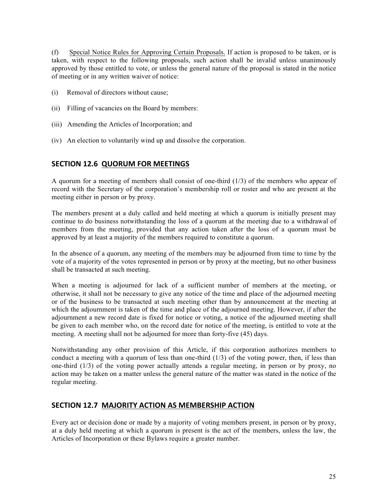(f) Special Notice Rules for Approving Certain Proposals. If action is proposed to be taken, or is taken, with respect to the following proposals, such action shall be invalid unless unanimously approved by those entitled to vote, or unless the general nature of the proposal is stated in the notice of meeting or in any written waiver of notice:

- (i) Removal of directors without cause;
- (ii) Filling of vacancies on the Board by members:
- (iii) Amending the Articles of Incorporation; and
- (iv) An election to voluntarily wind up and dissolve the corporation.

#### **SECTION 12.6 QUORUM FOR MEETINGS**

A quorum for a meeting of members shall consist of one-third (1/3) of the members who appear of record with the Secretary of the corporation's membership roll or roster and who are present at the meeting either in person or by proxy.

The members present at a duly called and held meeting at which a quorum is initially present may continue to do business notwithstanding the loss of a quorum at the meeting due to a withdrawal of members from the meeting, provided that any action taken after the loss of a quorum must be approved by at least a majority of the members required to constitute a quorum.

In the absence of a quorum, any meeting of the members may be adjourned from time to time by the vote of a majority of the votes represented in person or by proxy at the meeting, but no other business shall be transacted at such meeting.

When a meeting is adjourned for lack of a sufficient number of members at the meeting, or otherwise, it shall not be necessary to give any notice of the time and place of the adjourned meeting or of the business to be transacted at such meeting other than by announcement at the meeting at which the adjournment is taken of the time and place of the adjourned meeting. However, if after the adjournment a new record date is fixed for notice or voting, a notice of the adjourned meeting shall be given to each member who, on the record date for notice of the meeting, is entitled to vote at the meeting. A meeting shall not be adjourned for more than forty-five (45) days.

Notwithstanding any other provision of this Article, if this corporation authorizes members to conduct a meeting with a quorum of less than one-third  $(1/3)$  of the voting power, then, if less than one-third (1/3) of the voting power actually attends a regular meeting, in person or by proxy, no action may be taken on a matter unless the general nature of the matter was stated in the notice of the regular meeting.

## **SECTION 12.7 MAJORITY ACTION AS MEMBERSHIP ACTION**

Every act or decision done or made by a majority of voting members present, in person or by proxy, at a duly held meeting at which a quorum is present is the act of the members, unless the law, the Articles of Incorporation or these Bylaws require a greater number.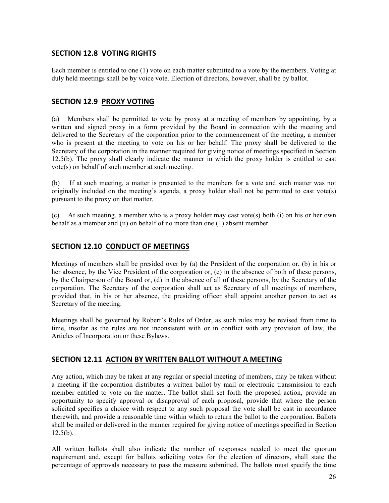## **SECTION 12.8 VOTING RIGHTS**

Each member is entitled to one (1) vote on each matter submitted to a vote by the members. Voting at duly held meetings shall be by voice vote. Election of directors, however, shall be by ballot.

## **SECTION 12.9 PROXY VOTING**

(a) Members shall be permitted to vote by proxy at a meeting of members by appointing, by a written and signed proxy in a form provided by the Board in connection with the meeting and delivered to the Secretary of the corporation prior to the commencement of the meeting, a member who is present at the meeting to vote on his or her behalf. The proxy shall be delivered to the Secretary of the corporation in the manner required for giving notice of meetings specified in Section 12.5(b). The proxy shall clearly indicate the manner in which the proxy holder is entitled to cast vote(s) on behalf of such member at such meeting.

(b) If at such meeting, a matter is presented to the members for a vote and such matter was not originally included on the meeting's agenda, a proxy holder shall not be permitted to cast vote(s) pursuant to the proxy on that matter.

(c) At such meeting, a member who is a proxy holder may cast vote(s) both (i) on his or her own behalf as a member and (ii) on behalf of no more than one (1) absent member.

## **SECTION 12.10 CONDUCT OF MEETINGS**

Meetings of members shall be presided over by (a) the President of the corporation or, (b) in his or her absence, by the Vice President of the corporation or, (c) in the absence of both of these persons, by the Chairperson of the Board or, (d) in the absence of all of these persons, by the Secretary of the corporation. The Secretary of the corporation shall act as Secretary of all meetings of members, provided that, in his or her absence, the presiding officer shall appoint another person to act as Secretary of the meeting.

Meetings shall be governed by Robert's Rules of Order, as such rules may be revised from time to time, insofar as the rules are not inconsistent with or in conflict with any provision of law, the Articles of Incorporation or these Bylaws.

## **SECTION 12.11 ACTION BY WRITTEN BALLOT WITHOUT A MEETING**

Any action, which may be taken at any regular or special meeting of members, may be taken without a meeting if the corporation distributes a written ballot by mail or electronic transmission to each member entitled to vote on the matter. The ballot shall set forth the proposed action, provide an opportunity to specify approval or disapproval of each proposal, provide that where the person solicited specifies a choice with respect to any such proposal the vote shall be cast in accordance therewith, and provide a reasonable time within which to return the ballot to the corporation. Ballots shall be mailed or delivered in the manner required for giving notice of meetings specified in Section  $12.5(b)$ .

All written ballots shall also indicate the number of responses needed to meet the quorum requirement and, except for ballots soliciting votes for the election of directors, shall state the percentage of approvals necessary to pass the measure submitted. The ballots must specify the time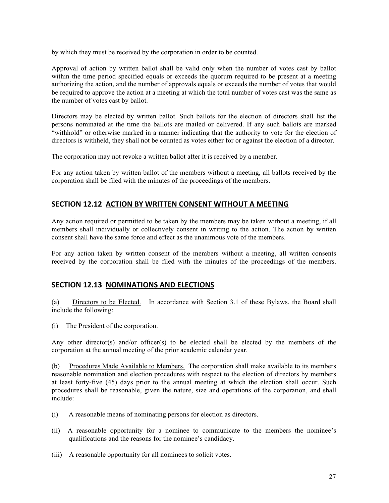by which they must be received by the corporation in order to be counted.

Approval of action by written ballot shall be valid only when the number of votes cast by ballot within the time period specified equals or exceeds the quorum required to be present at a meeting authorizing the action, and the number of approvals equals or exceeds the number of votes that would be required to approve the action at a meeting at which the total number of votes cast was the same as the number of votes cast by ballot.

Directors may be elected by written ballot. Such ballots for the election of directors shall list the persons nominated at the time the ballots are mailed or delivered. If any such ballots are marked "withhold" or otherwise marked in a manner indicating that the authority to vote for the election of directors is withheld, they shall not be counted as votes either for or against the election of a director.

The corporation may not revoke a written ballot after it is received by a member.

For any action taken by written ballot of the members without a meeting, all ballots received by the corporation shall be filed with the minutes of the proceedings of the members.

## **SECTION 12.12 ACTION BY WRITTEN CONSENT WITHOUT A MEETING**

Any action required or permitted to be taken by the members may be taken without a meeting, if all members shall individually or collectively consent in writing to the action. The action by written consent shall have the same force and effect as the unanimous vote of the members.

For any action taken by written consent of the members without a meeting, all written consents received by the corporation shall be filed with the minutes of the proceedings of the members.

## **SECTION 12.13 NOMINATIONS AND ELECTIONS**

(a) Directors to be Elected. In accordance with Section 3.1 of these Bylaws, the Board shall include the following:

(i) The President of the corporation.

Any other director(s) and/or officer(s) to be elected shall be elected by the members of the corporation at the annual meeting of the prior academic calendar year.

(b) Procedures Made Available to Members. The corporation shall make available to its members reasonable nomination and election procedures with respect to the election of directors by members at least forty-five (45) days prior to the annual meeting at which the election shall occur. Such procedures shall be reasonable, given the nature, size and operations of the corporation, and shall include:

- (i) A reasonable means of nominating persons for election as directors.
- (ii) A reasonable opportunity for a nominee to communicate to the members the nominee's qualifications and the reasons for the nominee's candidacy.
- (iii) A reasonable opportunity for all nominees to solicit votes.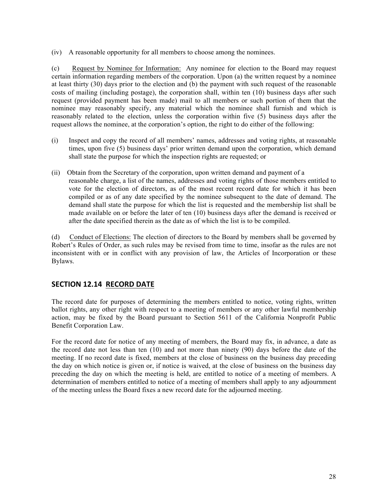(iv) A reasonable opportunity for all members to choose among the nominees.

(c) Request by Nominee for Information: Any nominee for election to the Board may request certain information regarding members of the corporation. Upon (a) the written request by a nominee at least thirty (30) days prior to the election and (b) the payment with such request of the reasonable costs of mailing (including postage), the corporation shall, within ten (10) business days after such request (provided payment has been made) mail to all members or such portion of them that the nominee may reasonably specify, any material which the nominee shall furnish and which is reasonably related to the election, unless the corporation within five (5) business days after the request allows the nominee, at the corporation's option, the right to do either of the following:

- (i) Inspect and copy the record of all members' names, addresses and voting rights, at reasonable times, upon five (5) business days' prior written demand upon the corporation, which demand shall state the purpose for which the inspection rights are requested; or
- (ii) Obtain from the Secretary of the corporation, upon written demand and payment of a reasonable charge, a list of the names, addresses and voting rights of those members entitled to vote for the election of directors, as of the most recent record date for which it has been compiled or as of any date specified by the nominee subsequent to the date of demand. The demand shall state the purpose for which the list is requested and the membership list shall be made available on or before the later of ten (10) business days after the demand is received or after the date specified therein as the date as of which the list is to be compiled.

(d) Conduct of Elections: The election of directors to the Board by members shall be governed by Robert's Rules of Order, as such rules may be revised from time to time, insofar as the rules are not inconsistent with or in conflict with any provision of law, the Articles of Incorporation or these Bylaws.

## **SECTION 12.14 RECORD DATE**

The record date for purposes of determining the members entitled to notice, voting rights, written ballot rights, any other right with respect to a meeting of members or any other lawful membership action, may be fixed by the Board pursuant to Section 5611 of the California Nonprofit Public Benefit Corporation Law.

For the record date for notice of any meeting of members, the Board may fix, in advance, a date as the record date not less than ten (10) and not more than ninety (90) days before the date of the meeting. If no record date is fixed, members at the close of business on the business day preceding the day on which notice is given or, if notice is waived, at the close of business on the business day preceding the day on which the meeting is held, are entitled to notice of a meeting of members. A determination of members entitled to notice of a meeting of members shall apply to any adjournment of the meeting unless the Board fixes a new record date for the adjourned meeting.